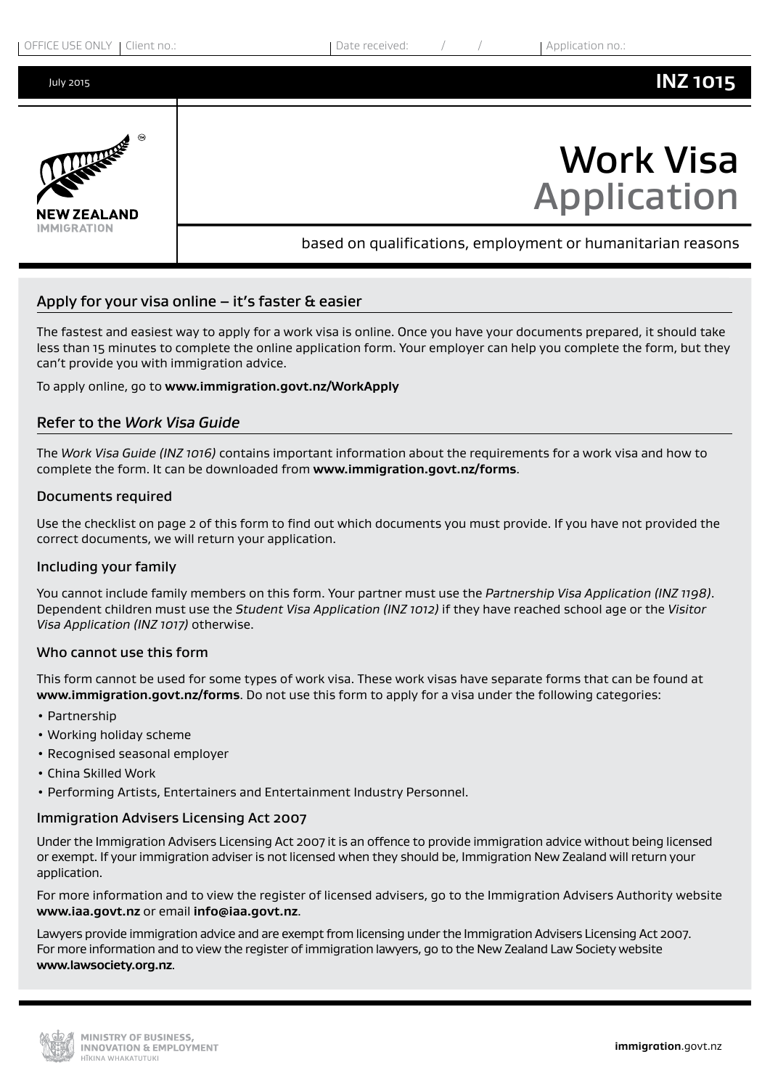

# Apply for your visa online  $-$  it's faster  $\alpha$  easier

The fastest and easiest way to apply for a work visa is online. Once you have your documents prepared, it should take less than 15 minutes to complete the online application form. Your employer can help you complete the form, but they can't provide you with immigration advice.

To apply online, go to **www.immigration.govt.nz/WorkApply**

## Refer to the *Work Visa Guide*

The *Work Visa Guide (INZ 1016)* contains important information about the requirements for a work visa and how to complete the form. It can be downloaded from **<www.immigration.govt.nz/forms>**.

#### Documents required

Use the checklist on page 2 of this form to find out which documents you must provide. If you have not provided the correct documents, we will return your application.

#### Including your family

You cannot include family members on this form. Your partner must use the *Partnership Visa Application (INZ 1198)*. Dependent children must use the *Student Visa Application (INZ 1012)* if they have reached school age or the *Visitor Visa Application (INZ 1017)* otherwise.

#### Who cannot use this form

This form cannot be used for some types of work visa. These work visas have separate forms that can be found at **<www.immigration.govt.nz/forms>**. Do not use this form to apply for a visa under the following categories:

- Partnership
- Working holiday scheme
- Recognised seasonal employer
- China Skilled Work
- Performing Artists, Entertainers and Entertainment Industry Personnel.

#### Immigration Advisers Licensing Act 2007

Under the Immigration Advisers Licensing Act 2007 it is an offence to provide immigration advice without being licensed or exempt. If your immigration adviser is not licensed when they should be, Immigration New Zealand will return your application.

For more information and to view the register of licensed advisers, go to the Immigration Advisers Authority website **<www.iaa.govt.nz>** or email **[info@iaa.govt.nz](mailto:info@iaa.govt.nz)**.

Lawyers provide immigration advice and are exempt from licensing under the Immigration Advisers Licensing Act 2007. For more information and to view the register of immigration lawyers, go to the New Zealand Law Society website **<www.lawsociety.org.nz>**.

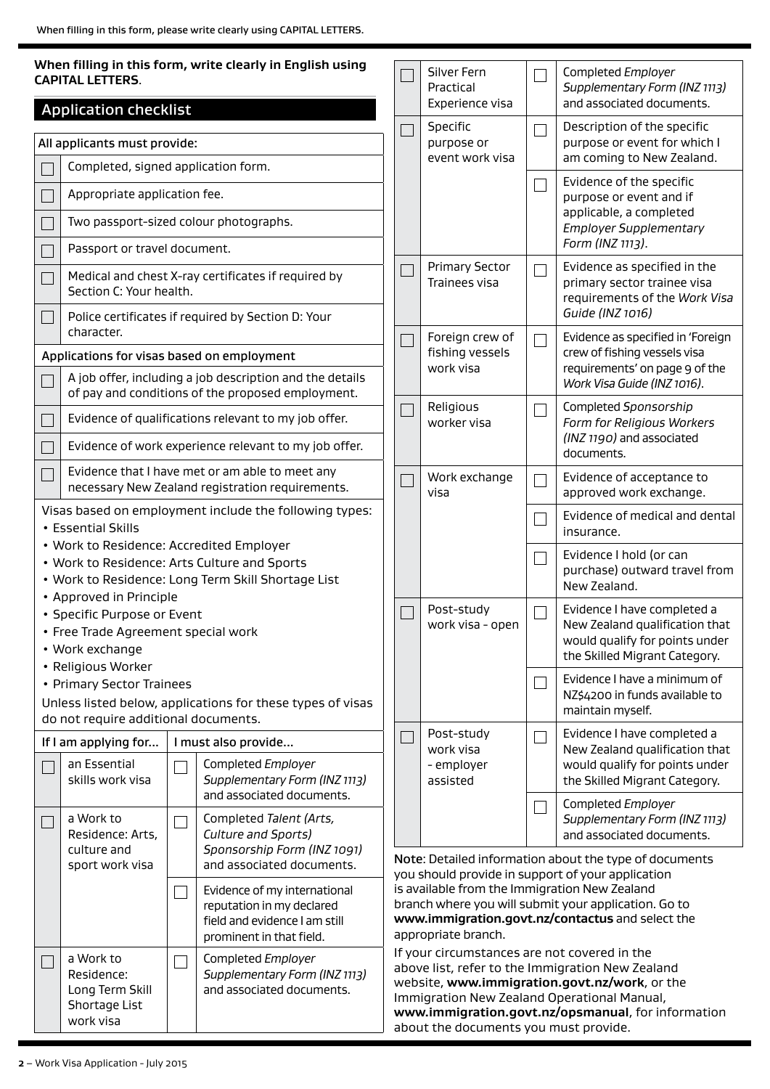| <b>CAPITAL LETTERS.</b>                                                                 | When filling in this form, write clearly in English using                                                              |        | Silver Fern<br>Practical                                                              |     | Completed Employer<br>Supplementary Form (INZ 1113)                                                                                                                                                    |
|-----------------------------------------------------------------------------------------|------------------------------------------------------------------------------------------------------------------------|--------|---------------------------------------------------------------------------------------|-----|--------------------------------------------------------------------------------------------------------------------------------------------------------------------------------------------------------|
| <b>Application checklist</b>                                                            |                                                                                                                        |        | Experience visa                                                                       |     | and associated documents.                                                                                                                                                                              |
| All applicants must provide:                                                            |                                                                                                                        |        | Specific<br>purpose or<br>event work visa                                             |     | Description of the specific<br>purpose or event for which I<br>am coming to New Zealand.                                                                                                               |
| Completed, signed application form.                                                     |                                                                                                                        |        |                                                                                       |     | Evidence of the specific                                                                                                                                                                               |
| Appropriate application fee.                                                            |                                                                                                                        |        |                                                                                       |     | purpose or event and if<br>applicable, a completed                                                                                                                                                     |
| Two passport-sized colour photographs.                                                  |                                                                                                                        |        |                                                                                       |     | <b>Employer Supplementary</b><br>Form (INZ 1113).                                                                                                                                                      |
| Passport or travel document.                                                            |                                                                                                                        |        | <b>Primary Sector</b>                                                                 |     | Evidence as specified in the                                                                                                                                                                           |
| Section C: Your health.                                                                 | Medical and chest X-ray certificates if required by                                                                    |        | Trainees visa                                                                         |     | primary sector trainee visa<br>requirements of the Work Visa                                                                                                                                           |
| character.                                                                              | Police certificates if required by Section D: Your                                                                     |        | Foreign crew of                                                                       |     | Guide (INZ 1016)<br>Evidence as specified in 'Foreign                                                                                                                                                  |
| Applications for visas based on employment                                              |                                                                                                                        |        | fishing vessels<br>work visa                                                          |     | crew of fishing vessels visa<br>requirements' on page 9 of the                                                                                                                                         |
|                                                                                         | A job offer, including a job description and the details<br>of pay and conditions of the proposed employment.          |        |                                                                                       |     | Work Visa Guide (INZ 1016).                                                                                                                                                                            |
|                                                                                         | Evidence of qualifications relevant to my job offer.                                                                   |        | Religious<br>worker visa                                                              |     | Completed Sponsorship<br>Form for Religious Workers                                                                                                                                                    |
|                                                                                         | Evidence of work experience relevant to my job offer.                                                                  |        |                                                                                       |     | (INZ 1190) and associated<br>documents.                                                                                                                                                                |
|                                                                                         | Evidence that I have met or am able to meet any<br>necessary New Zealand registration requirements.                    |        | Work exchange<br>visa                                                                 |     | Evidence of acceptance to<br>approved work exchange.                                                                                                                                                   |
| • Essential Skills                                                                      | Visas based on employment include the following types:                                                                 |        |                                                                                       |     | Evidence of medical and dental<br>insurance.                                                                                                                                                           |
| • Work to Residence: Accredited Employer<br>• Approved in Principle                     | • Work to Residence: Arts Culture and Sports<br>• Work to Residence: Long Term Skill Shortage List                     |        |                                                                                       |     | Evidence I hold (or can<br>purchase) outward travel from<br>New Zealand.                                                                                                                               |
| • Specific Purpose or Event<br>• Free Trade Agreement special work<br>• Work exchange   |                                                                                                                        |        | Post-study<br>work visa - open                                                        |     | Evidence I have completed a<br>New Zealand qualification that<br>would qualify for points under<br>the Skilled Migrant Category.                                                                       |
| • Religious Worker<br>• Primary Sector Trainees<br>do not require additional documents. | Unless listed below, applications for these types of visas                                                             |        |                                                                                       |     | Evidence I have a minimum of<br>NZ\$4200 in funds available to<br>maintain myself.                                                                                                                     |
| If I am applying for                                                                    | I must also provide                                                                                                    | $\Box$ | Post-study                                                                            | - 1 | Evidence I have completed a                                                                                                                                                                            |
| an Essential<br>skills work visa                                                        | Completed Employer<br>Supplementary Form (INZ 1113)                                                                    |        | work visa<br>- employer<br>assisted                                                   |     | New Zealand qualification that<br>would qualify for points under<br>the Skilled Migrant Category.                                                                                                      |
| a Work to<br>Residence: Arts,<br>culture and                                            | and associated documents.<br>Completed Talent (Arts,<br>Culture and Sports)<br>Sponsorship Form (INZ 1091)             |        |                                                                                       |     | Completed Employer<br>Supplementary Form (INZ 1113)<br>and associated documents.                                                                                                                       |
| sport work visa                                                                         | and associated documents.                                                                                              |        |                                                                                       |     | Note: Detailed information about the type of documents<br>you should provide in support of your application                                                                                            |
|                                                                                         | Evidence of my international<br>reputation in my declared<br>field and evidence I am still<br>prominent in that field. |        | is available from the Immigration New Zealand<br>appropriate branch.                  |     | branch where you will submit your application. Go to<br>www.immigration.govt.nz/contactus and select the                                                                                               |
| a Work to<br>Residence:<br>Long Term Skill<br>Shortage List<br>work visa                | Completed Employer<br>Supplementary Form (INZ 1113)<br>and associated documents.                                       |        | If your circumstances are not covered in the<br>about the documents you must provide. |     | above list, refer to the Immigration New Zealand<br>website, www.immigration.govt.nz/work, or the<br>Immigration New Zealand Operational Manual,<br>www.immigration.govt.nz/opsmanual, for information |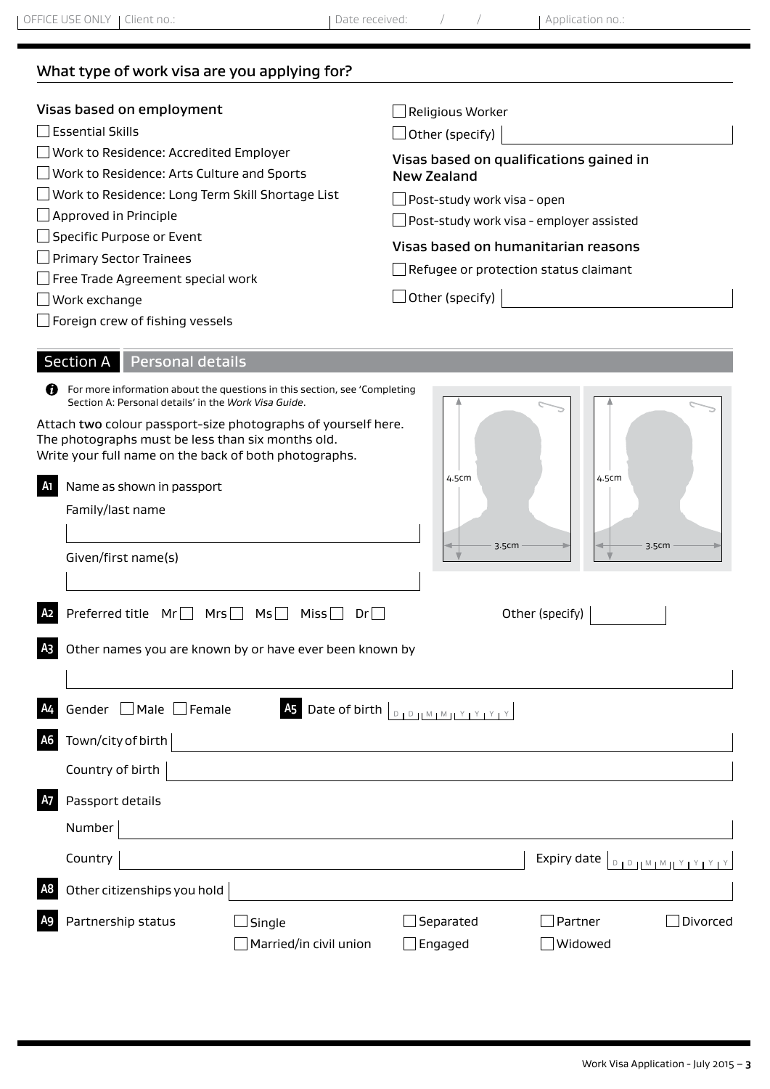What type of work visa are you applying for?

| Visas based on employment<br>$\mathsf{\bar{\exists}}$ Essential Skills<br>Work to Residence: Accredited Employer<br>Work to Residence: Arts Culture and Sports<br>Work to Residence: Long Term Skill Shortage List<br>$\Box$ Approved in Principle<br>Specific Purpose or Event<br>Primary Sector Trainees<br>Free Trade Agreement special work | Religious Worker<br>$\Box$ Other (specify)<br>Visas based on qualifications gained in<br><b>New Zealand</b><br>Post-study work visa - open_<br>Post-study work visa - employer assisted<br>Visas based on humanitarian reasons<br>Refugee or protection status claimant |
|-------------------------------------------------------------------------------------------------------------------------------------------------------------------------------------------------------------------------------------------------------------------------------------------------------------------------------------------------|-------------------------------------------------------------------------------------------------------------------------------------------------------------------------------------------------------------------------------------------------------------------------|
| Work exchange<br>$\Box$ Foreign crew of fishing vessels                                                                                                                                                                                                                                                                                         | $\perp$ Other (specify)                                                                                                                                                                                                                                                 |
| <b>Section A</b><br><b>Personal details</b><br>For more information about the questions in this section, see 'Completing<br>69<br>Section A: Personal details' in the Work Visa Guide.<br>Attach two colour passport-size photographs of yourself here.                                                                                         |                                                                                                                                                                                                                                                                         |
| The photographs must be less than six months old.<br>Write your full name on the back of both photographs.<br>Name as shown in passport<br>A1<br>Family/last name<br>Given/first name(s)                                                                                                                                                        | 4.5cm<br>4.5cm<br>3.5cm<br>3.5cm                                                                                                                                                                                                                                        |
| Preferred title $Mr \Box Mrs \Box$<br>MS<br>Miss $\square$<br>Dr                                                                                                                                                                                                                                                                                | Other (specify)                                                                                                                                                                                                                                                         |
| Other names you are known by or have ever been known by                                                                                                                                                                                                                                                                                         |                                                                                                                                                                                                                                                                         |
| Gender   Male   Female                                                                                                                                                                                                                                                                                                                          | As Date of birth $\boxed{\text{D}_1\text{D}_1\text{M}_1\text{M}_1\text{M}_1\text{M}_1\text{M}_1\text{M}_2\text{M}_2\text{M}_2\text{M}_2}$                                                                                                                               |
| Town/city of birth                                                                                                                                                                                                                                                                                                                              |                                                                                                                                                                                                                                                                         |
| Country of birth                                                                                                                                                                                                                                                                                                                                |                                                                                                                                                                                                                                                                         |
| Passport details                                                                                                                                                                                                                                                                                                                                |                                                                                                                                                                                                                                                                         |
| Number                                                                                                                                                                                                                                                                                                                                          |                                                                                                                                                                                                                                                                         |
| Country                                                                                                                                                                                                                                                                                                                                         | Expiry date $\boxed{\text{p}_1\text{p}_1\text{M}_1\text{M}_1\text{Y}_1\text{Y}_1\text{Y}_1\text{Y}_2}$                                                                                                                                                                  |
| Other citizenships you hold                                                                                                                                                                                                                                                                                                                     |                                                                                                                                                                                                                                                                         |
| Partnership status<br>Single<br>Married/in civil union                                                                                                                                                                                                                                                                                          | Separated<br>Partner<br>Divorced<br>Widowed<br>Engaged                                                                                                                                                                                                                  |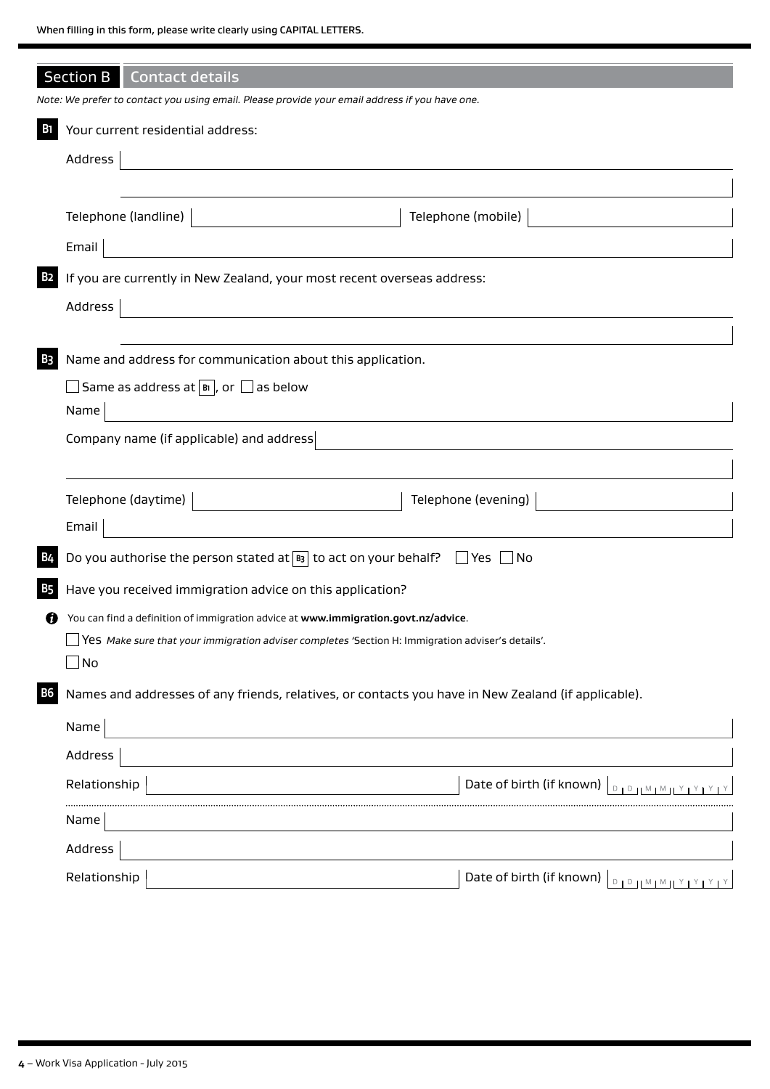|            | <b>Section B</b> Contact details                                                                                                |                                                             |
|------------|---------------------------------------------------------------------------------------------------------------------------------|-------------------------------------------------------------|
|            | Note: We prefer to contact you using email. Please provide your email address if you have one.                                  |                                                             |
| <b>B</b> 1 | Your current residential address:                                                                                               |                                                             |
|            | Address<br><u> 1980 - Jan Stein Stein Stein Stein Stein Stein Stein Stein Stein Stein Stein Stein Stein Stein Stein Stein S</u> |                                                             |
|            |                                                                                                                                 |                                                             |
|            | Telephone (landline)<br><u> 1989 - Jan Barbara III, martx</u>                                                                   | Telephone (mobile)                                          |
|            | Email                                                                                                                           |                                                             |
| <b>B2</b>  | If you are currently in New Zealand, your most recent overseas address:                                                         |                                                             |
|            | Address                                                                                                                         |                                                             |
|            |                                                                                                                                 |                                                             |
| <b>B3</b>  | Name and address for communication about this application.                                                                      |                                                             |
|            | $\Box$ Same as address at $\boxed{\mathbb{B}}$ , or $\Box$ as below                                                             |                                                             |
|            | Name<br><u> 1980 - Johann Stein, marwolaethau (b. 1980)</u>                                                                     |                                                             |
|            | Company name (if applicable) and address                                                                                        |                                                             |
|            |                                                                                                                                 |                                                             |
|            | Telephone (daytime)                                                                                                             | Telephone (evening)                                         |
|            | Email<br><u> 1980 - Johann John Stein, markin f</u>                                                                             |                                                             |
| <b>B4</b>  | Do you authorise the person stated at $\boxed{B}$ to act on your behalf? $\boxed{\phantom{a}}$ Yes $\boxed{\phantom{a}}$ No     |                                                             |
| <b>B5</b>  | Have you received immigration advice on this application?                                                                       |                                                             |
|            | You can find a definition of immigration advice at www.immigration.govt.nz/advice.                                              |                                                             |
|            | $\Box$ Yes Make sure that your immigration adviser completes 'Section H: Immigration adviser's details'.                        |                                                             |
|            | ∃No                                                                                                                             |                                                             |
| <b>B6</b>  | Names and addresses of any friends, relatives, or contacts you have in New Zealand (if applicable).                             |                                                             |
|            | Name                                                                                                                            |                                                             |
|            | Address                                                                                                                         |                                                             |
|            | Relationship                                                                                                                    | Date of birth (if known)<br><b>DIDHMIMIYIYIYIY</b>          |
|            | Name                                                                                                                            |                                                             |
|            | Address                                                                                                                         |                                                             |
|            | Relationship                                                                                                                    | Date of birth (if known)<br>$D + D + M + M + Y + Y + Y + Y$ |
|            |                                                                                                                                 |                                                             |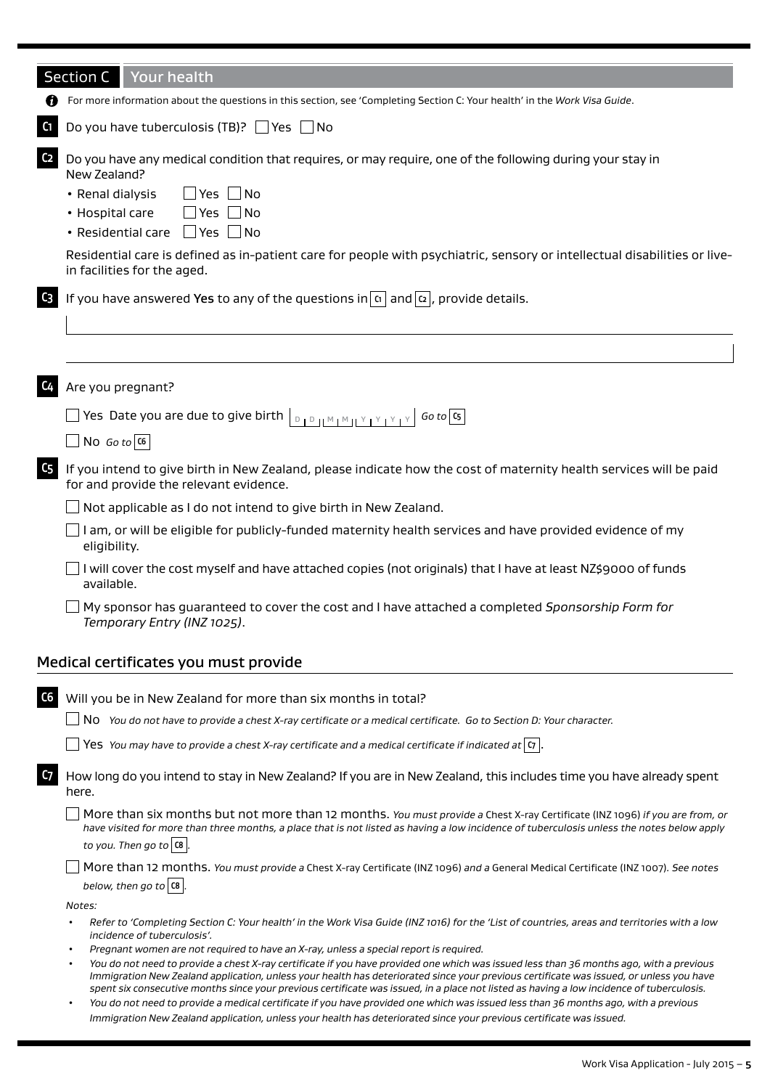|                | <b>Section C</b><br>Your health                                                                                                                                                                                                                                                                                                                                                                                             |
|----------------|-----------------------------------------------------------------------------------------------------------------------------------------------------------------------------------------------------------------------------------------------------------------------------------------------------------------------------------------------------------------------------------------------------------------------------|
|                | For more information about the questions in this section, see 'Completing Section C: Your health' in the Work Visa Guide.                                                                                                                                                                                                                                                                                                   |
| C <sub>1</sub> | Do you have tuberculosis (TB)? $\Box$ Yes $\Box$ No                                                                                                                                                                                                                                                                                                                                                                         |
| C <sub>2</sub> | Do you have any medical condition that requires, or may require, one of the following during your stay in<br>New Zealand?<br>• Renal dialysis<br>$\Box$ Yes $\Box$ No<br>$\Box$ Yes $\Box$ No<br>• Hospital care<br>• Residential care $\Box$ Yes $\Box$ No<br>Residential care is defined as in-patient care for people with psychiatric, sensory or intellectual disabilities or live-<br>in facilities for the aged.     |
| $C_3$          | If you have answered Yes to any of the questions in $ a $ and $ a $ , provide details.                                                                                                                                                                                                                                                                                                                                      |
| <b>C4</b>      | Are you pregnant?                                                                                                                                                                                                                                                                                                                                                                                                           |
|                | Yes Date you are due to give birth $\vert_{\text{D}_1\text{D}_1\text{M}_1\text{M}_1\text{M}_1\text{Y}_1\text{Y}_1\text{Y}_1}$<br>$Go$ to $Cs$                                                                                                                                                                                                                                                                               |
|                | $\Box$ No <i>Go to</i> $ $ C6                                                                                                                                                                                                                                                                                                                                                                                               |
| C <sub>5</sub> | If you intend to give birth in New Zealand, please indicate how the cost of maternity health services will be paid<br>for and provide the relevant evidence.                                                                                                                                                                                                                                                                |
|                | Not applicable as I do not intend to give birth in New Zealand.                                                                                                                                                                                                                                                                                                                                                             |
|                | I am, or will be eligible for publicly-funded maternity health services and have provided evidence of my<br>eligibility.                                                                                                                                                                                                                                                                                                    |
|                | I will cover the cost myself and have attached copies (not originals) that I have at least NZ\$9000 of funds<br>available.                                                                                                                                                                                                                                                                                                  |
|                | My sponsor has guaranteed to cover the cost and I have attached a completed Sponsorship Form for<br>Temporary Entry (INZ 1025).                                                                                                                                                                                                                                                                                             |
|                | Medical certificates you must provide                                                                                                                                                                                                                                                                                                                                                                                       |
| C6             | Will you be in New Zealand for more than six months in total?                                                                                                                                                                                                                                                                                                                                                               |
|                | No You do not have to provide a chest X-ray certificate or a medical certificate. Go to Section D: Your character.                                                                                                                                                                                                                                                                                                          |
|                | Yes You may have to provide a chest X-ray certificate and a medical certificate if indicated at $ \sigma $ .                                                                                                                                                                                                                                                                                                                |
| C <sub>7</sub> | How long do you intend to stay in New Zealand? If you are in New Zealand, this includes time you have already spent<br>here.                                                                                                                                                                                                                                                                                                |
|                | More than six months but not more than 12 months. You must provide a Chest X-ray Certificate (INZ 1096) if you are from, or<br>have visited for more than three months, a place that is not listed as having a low incidence of tuberculosis unless the notes below apply<br>to you. Then go to $ $ C8 $ $ .                                                                                                                |
|                | More than 12 months. You must provide a Chest X-ray Certificate (INZ 1096) and a General Medical Certificate (INZ 1007). See notes<br>below, then go to $\alpha$ .                                                                                                                                                                                                                                                          |
|                | Notes:                                                                                                                                                                                                                                                                                                                                                                                                                      |
|                | Refer to 'Completing Section C: Your health' in the Work Visa Guide (INZ 1016) for the 'List of countries, areas and territories with a low<br>$\bullet$<br>incidence of tuberculosis'.                                                                                                                                                                                                                                     |
|                | Pregnant women are not required to have an X-ray, unless a special report is required.<br>You do not need to provide a chest X-ray certificate if you have provided one which was issued less than 36 months ago, with a previous<br>$\bullet$                                                                                                                                                                              |
|                | Immigration New Zealand application, unless your health has deteriorated since your previous certificate was issued, or unless you have<br>spent six consecutive months since your previous certificate was issued, in a place not listed as having a low incidence of tuberculosis.<br>You do not need to provide a medical certificate if you have provided one which was issued less than 36 months ago, with a previous |
|                | Immigration New Zealand application, unless your health has deteriorated since your previous certificate was issued.                                                                                                                                                                                                                                                                                                        |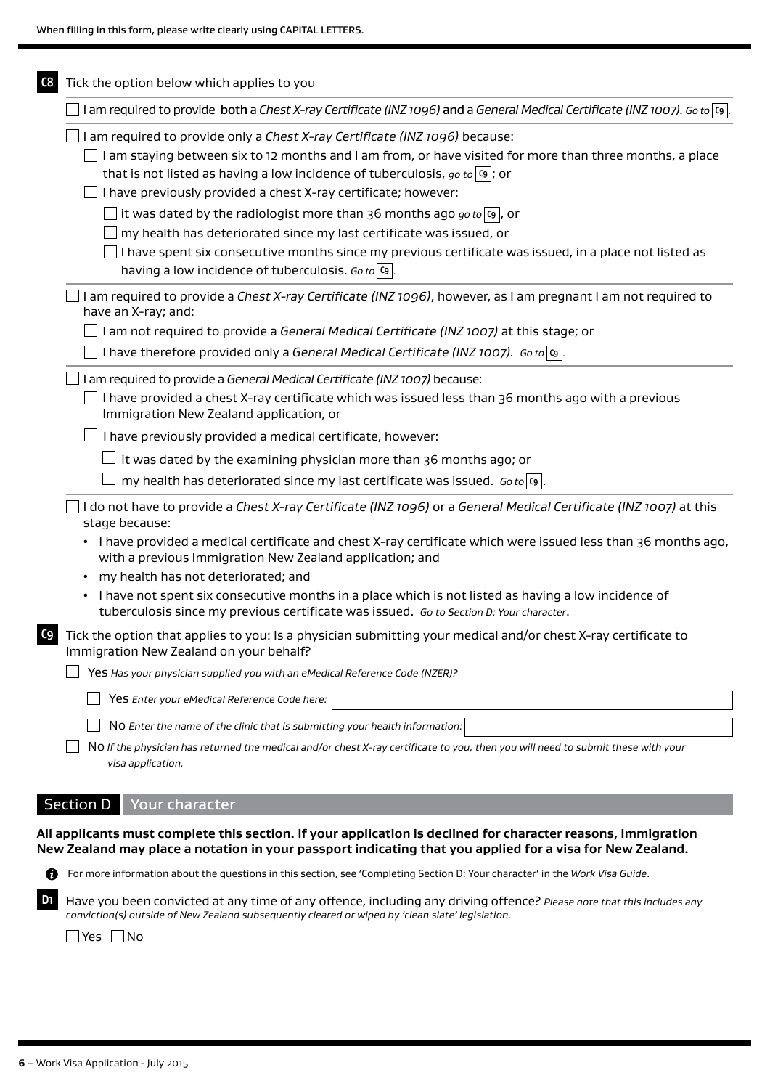| I am required to provide both a Chest X-ray Certificate (INZ 1096) and a General Medical Certificate (INZ 1007). Go to $\overline{c_9}$ .                                                                                                                                                                                                   |
|---------------------------------------------------------------------------------------------------------------------------------------------------------------------------------------------------------------------------------------------------------------------------------------------------------------------------------------------|
| I am required to provide only a Chest X-ray Certificate (INZ 1096) because:<br>I am staying between six to 12 months and I am from, or have visited for more than three months, a place<br>that is not listed as having a low incidence of tuberculosis, go to $ s $ ; or<br>I have previously provided a chest X-ray certificate; however: |
| $\_$ it was dated by the radiologist more than 36 months ago $\it{go}$ to $\vert$ o, or                                                                                                                                                                                                                                                     |
| my health has deteriorated since my last certificate was issued, or                                                                                                                                                                                                                                                                         |
| I have spent six consecutive months since my previous certificate was issued, in a place not listed as<br>having a low incidence of tuberculosis. Go to $ s $                                                                                                                                                                               |
| I am required to provide a Chest X-ray Certificate (INZ 1096), however, as I am pregnant I am not required to<br>have an X-ray; and:                                                                                                                                                                                                        |
| I am not required to provide a General Medical Certificate (INZ 1007) at this stage; or                                                                                                                                                                                                                                                     |
| I have therefore provided only a General Medical Certificate (INZ 1007). Go to $ s $ .                                                                                                                                                                                                                                                      |
| I am required to provide a General Medical Certificate (INZ 1007) because:                                                                                                                                                                                                                                                                  |
| I have provided a chest X-ray certificate which was issued less than 36 months ago with a previous<br>Immigration New Zealand application, or                                                                                                                                                                                               |
| I have previously provided a medical certificate, however:                                                                                                                                                                                                                                                                                  |
| it was dated by the examining physician more than 36 months ago; or                                                                                                                                                                                                                                                                         |
| my health has deteriorated since my last certificate was issued. Go to $ q $ .                                                                                                                                                                                                                                                              |
| I do not have to provide a Chest X-ray Certificate (INZ 1096) or a General Medical Certificate (INZ 1007) at this<br>stage because:                                                                                                                                                                                                         |
| • I have provided a medical certificate and chest X-ray certificate which were issued less than 36 months ago,<br>with a previous Immigration New Zealand application; and                                                                                                                                                                  |
| my health has not deteriorated; and                                                                                                                                                                                                                                                                                                         |
| • I have not spent six consecutive months in a place which is not listed as having a low incidence of<br>tuberculosis since my previous certificate was issued. Go to Section D: Your character.                                                                                                                                            |
| Tick the option that applies to you: Is a physician submitting your medical and/or chest X-ray certificate to<br>Immigration New Zealand on your behalf?                                                                                                                                                                                    |
| Yes Has your physician supplied you with an eMedical Reference Code (NZER)?                                                                                                                                                                                                                                                                 |
| Yes Enter your eMedical Reference Code here:                                                                                                                                                                                                                                                                                                |
| NO Enter the name of the clinic that is submitting your health information:                                                                                                                                                                                                                                                                 |
| NO If the physician has returned the medical and/or chest X-ray certificate to you, then you will need to submit these with your                                                                                                                                                                                                            |
|                                                                                                                                                                                                                                                                                                                                             |

For more information about the questions in this section, see 'Completing Section D: Your character' in the *Work Visa Guide*.

**D1** Have you been convicted at any time of any offence, including any driving offence? *Please note that this includes any conviction(s) outside of New Zealand subsequently cleared or wiped by 'clean slate' legislation.*

■Yes ■ No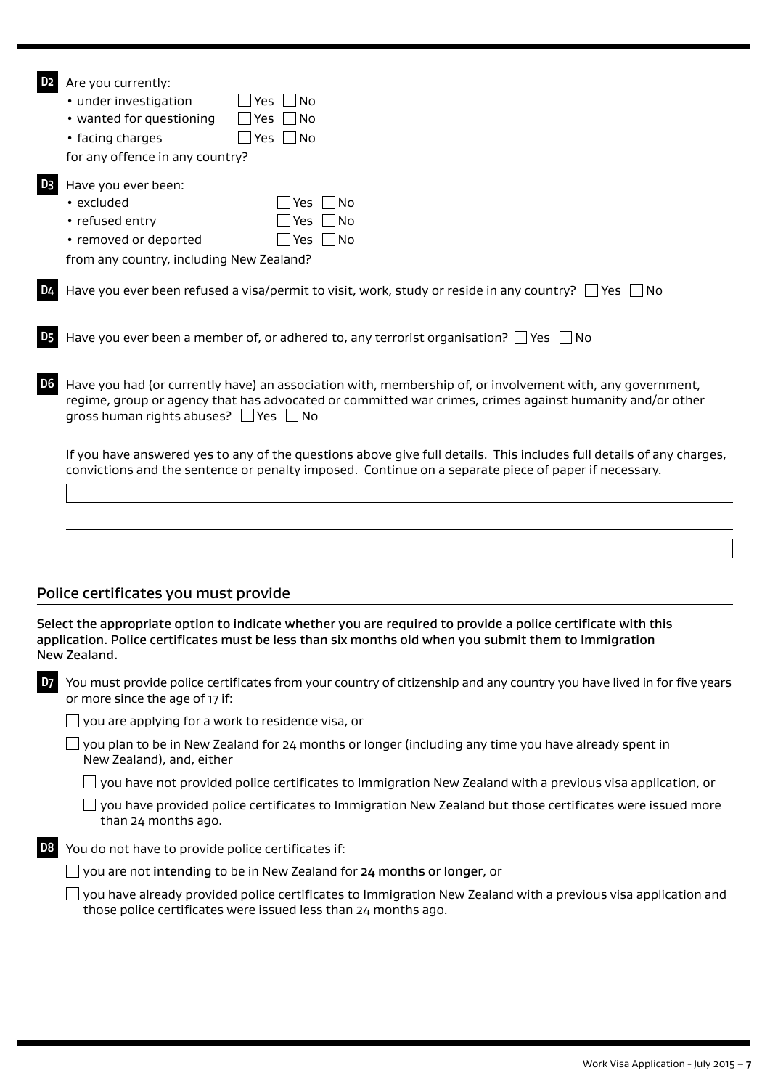| D <sub>2</sub> | Are you currently:<br>• under investigation<br>Yes<br>- I No<br>• wanted for questioning<br>Yes $\Box$ No<br> Yes  _ No<br>• facing charges<br>for any offence in any country?                                                                                           |
|----------------|--------------------------------------------------------------------------------------------------------------------------------------------------------------------------------------------------------------------------------------------------------------------------|
| D <sub>3</sub> | Have you ever been:<br>∫No<br>• excluded<br>Yes<br>Yes $\Box$ No<br>• refused entry<br>$\Box$ Yes $\Box$ No<br>• removed or deported<br>from any country, including New Zealand?                                                                                         |
| <b>D4</b>      | Have you ever been refused a visa/permit to visit, work, study or reside in any country? ∐ Yes ∐ No                                                                                                                                                                      |
| <b>D5</b>      | Have you ever been a member of, or adhered to, any terrorist organisation? $\Box$ Yes $\Box$ No                                                                                                                                                                          |
| D <sub>6</sub> | Have you had (or currently have) an association with, membership of, or involvement with, any government,<br>regime, group or agency that has advocated or committed war crimes, crimes against humanity and/or other<br>gross human rights abuses? $\Box$ Yes $\Box$ No |
|                | If you have answered yes to any of the questions above give full details. This includes full details of any charges,<br>convictions and the sentence or penalty imposed. Continue on a separate piece of paper if necessary.                                             |
|                |                                                                                                                                                                                                                                                                          |
|                | Police certificates you must provide                                                                                                                                                                                                                                     |
|                | Select the appropriate option to indicate whether you are required to provide a police certificate with this<br>application. Police certificates must be less than six months old when you submit them to Immigration<br>New Zealand.                                    |
| D <sub>7</sub> | You must provide police certificates from your country of citizenship and any country you have lived in for five years<br>or more since the age of 17 if:                                                                                                                |
|                | you are applying for a work to residence visa, or                                                                                                                                                                                                                        |
|                | you plan to be in New Zealand for 24 months or longer (including any time you have already spent in<br>New Zealand), and, either                                                                                                                                         |
|                | you have not provided police certificates to Immigration New Zealand with a previous visa application, or                                                                                                                                                                |
|                | you have provided police certificates to Immigration New Zealand but those certificates were issued more<br>than 24 months ago.                                                                                                                                          |
| D <sub>8</sub> | You do not have to provide police certificates if:                                                                                                                                                                                                                       |
|                | $\perp$ you are not intending to be in New Zealand for 24 months or longer, or                                                                                                                                                                                           |
|                | you have already provided police certificates to Immigration New Zealand with a previous visa application and<br>those police certificates were issued less than 24 months ago.                                                                                          |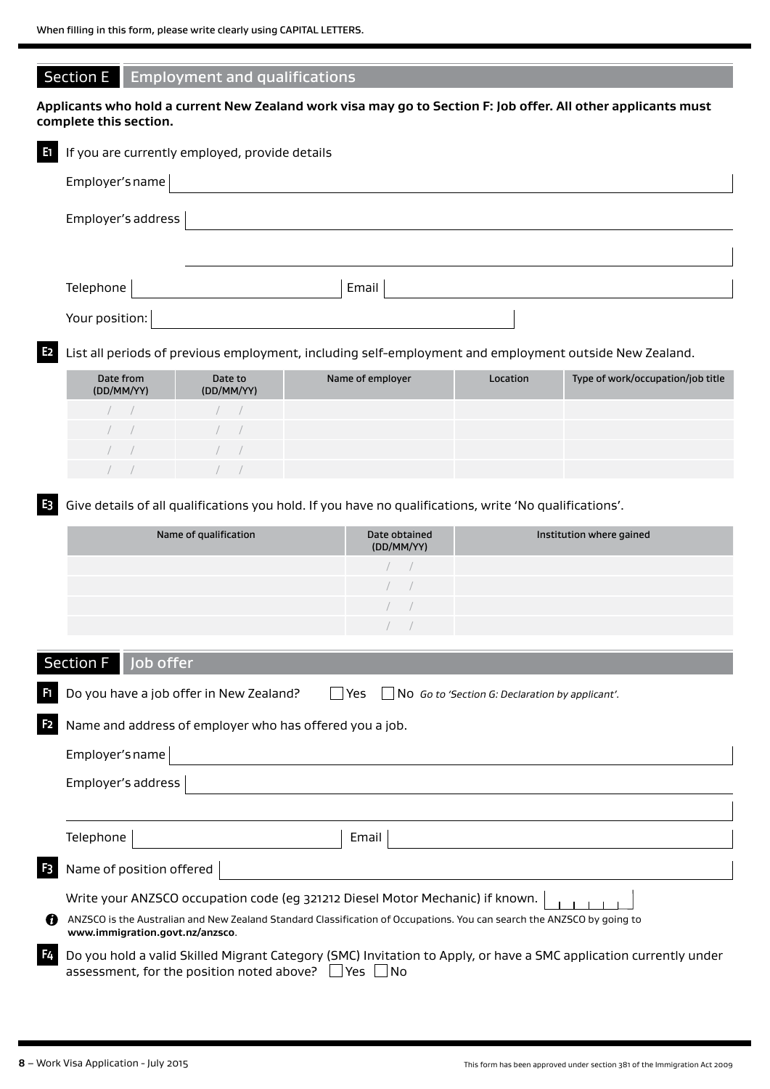| <b>Section E</b>        | <b>Employment and qualifications</b>           |                                                                                                               |          |                                   |
|-------------------------|------------------------------------------------|---------------------------------------------------------------------------------------------------------------|----------|-----------------------------------|
| complete this section.  |                                                | Applicants who hold a current New Zealand work visa may go to Section F: Job offer. All other applicants must |          |                                   |
| E                       | If you are currently employed, provide details |                                                                                                               |          |                                   |
| Employer's name         |                                                |                                                                                                               |          |                                   |
| Employer's address      |                                                |                                                                                                               |          |                                   |
|                         |                                                |                                                                                                               |          |                                   |
| Telephone               |                                                | Email                                                                                                         |          |                                   |
| Your position:          |                                                |                                                                                                               |          |                                   |
| E <sub>2</sub>          |                                                | List all periods of previous employment, including self-employment and employment outside New Zealand.        |          |                                   |
| Date from<br>(DD/MM/YY) | Date to<br>(DD/MM/YY)                          | Name of employer                                                                                              | Location | Type of work/occupation/job title |
|                         |                                                |                                                                                                               |          |                                   |
|                         |                                                |                                                                                                               |          |                                   |
|                         |                                                |                                                                                                               |          |                                   |
|                         |                                                |                                                                                                               |          |                                   |
| E3                      |                                                | Give details of all qualifications you hold. If you have no qualifications, write 'No qualifications'.        |          |                                   |

| Name of qualification | Date obtained<br>(DD/MM/YY) | Institution where gained |
|-----------------------|-----------------------------|--------------------------|
|                       |                             |                          |
|                       |                             |                          |
|                       |                             |                          |
|                       |                             |                          |

# Section F Iob offer

|                | $\overline{\phantom{iiiiiiiiiiiiiiiiiiiiiiiiiiiiii}}$                                                                                                                                  |
|----------------|----------------------------------------------------------------------------------------------------------------------------------------------------------------------------------------|
| n              | Do you have a job offer in New Zealand?<br>Yes.<br>$\vert$ No Go to 'Section G: Declaration by applicant'.                                                                             |
| F <sub>2</sub> | Name and address of employer who has offered you a job.                                                                                                                                |
|                | Employer's name                                                                                                                                                                        |
|                | Employer's address                                                                                                                                                                     |
|                |                                                                                                                                                                                        |
|                | Telephone<br>Email                                                                                                                                                                     |
| F3             | Name of position offered                                                                                                                                                               |
|                | Write your ANZSCO occupation code (eg 321212 Diesel Motor Mechanic) if known.                                                                                                          |
| n              | ANZSCO is the Australian and New Zealand Standard Classification of Occupations. You can search the ANZSCO by going to<br>www.immigration.govt.nz/anzsco.                              |
| F4             | Do you hold a valid Skilled Migrant Category (SMC) Invitation to Apply, or have a SMC application currently under<br>assessment, for the position noted above?  <br>l lYes l<br>- I No |

 $\overline{\phantom{a}}$ 

 $\overline{\phantom{a}}$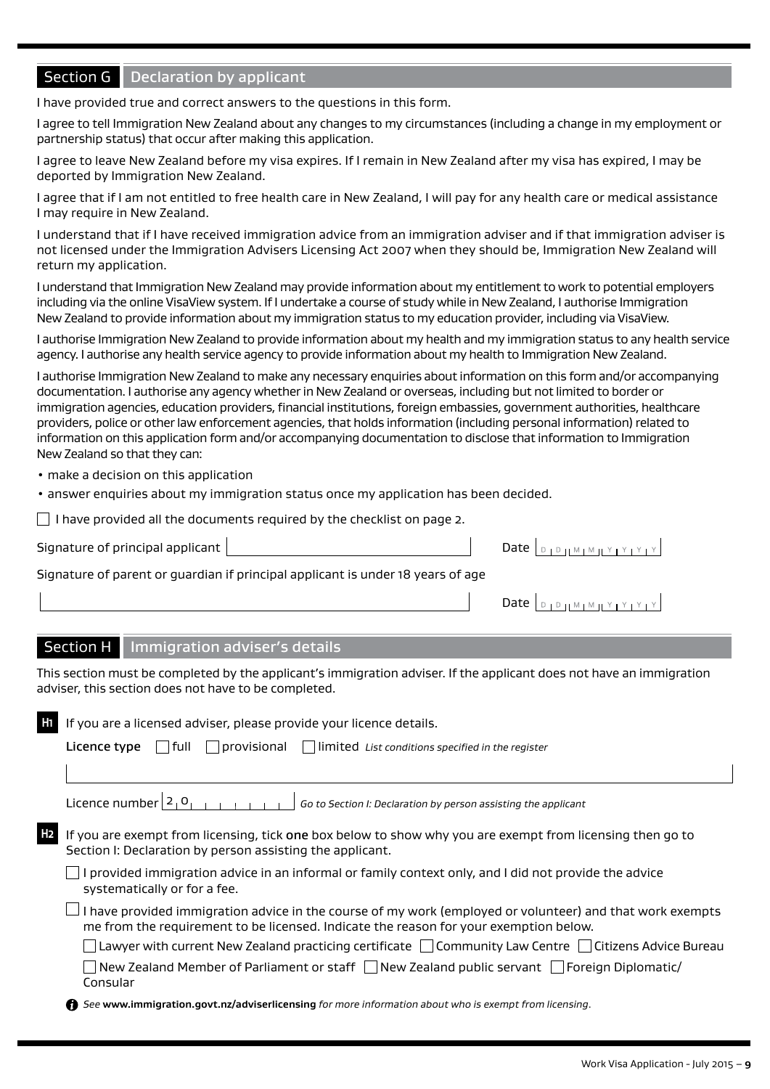# Section G Declaration by applicant

I have provided true and correct answers to the questions in this form.

I agree to tell Immigration New Zealand about any changes to my circumstances (including a change in my employment or partnership status) that occur after making this application.

I agree to leave New Zealand before my visa expires. If I remain in New Zealand after my visa has expired, I may be deported by Immigration New Zealand.

I agree that if I am not entitled to free health care in New Zealand, I will pay for any health care or medical assistance I may require in New Zealand.

I understand that if I have received immigration advice from an immigration adviser and if that immigration adviser is not licensed under the Immigration Advisers Licensing Act 2007 when they should be, Immigration New Zealand will return my application.

I understand that Immigration New Zealand may provide information about my entitlement to work to potential employers including via the online VisaView system. If I undertake a course of study while in New Zealand, I authorise Immigration New Zealand to provide information about my immigration status to my education provider, including via VisaView.

I authorise Immigration New Zealand to provide information about my health and my immigration status to any health service agency. I authorise any health service agency to provide information about my health to Immigration New Zealand.

I authorise Immigration New Zealand to make any necessary enquiries about information on this form and/or accompanying documentation. I authorise any agency whether in New Zealand or overseas, including but not limited to border or immigration agencies, education providers, financial institutions, foreign embassies, government authorities, healthcare providers, police or other law enforcement agencies, that holds information (including personal information) related to information on this application form and/or accompanying documentation to disclose that information to Immigration New Zealand so that they can:

- make a decision on this application
- answer enquiries about my immigration status once my application has been decided.

 $\Box$  I have provided all the documents required by the checklist on page 2.

Signature of principal applicant  $\parallel$  Date  $\parallel$  Date  $\parallel$  Date  $\parallel$ 

Signature of parent or guardian if principal applicant is under 18 years of age

| Date $\Box$ |  |
|-------------|--|
|-------------|--|

## Section H | Immigration adviser's details

This section must be completed by the applicant's immigration adviser. If the applicant does not have an immigration adviser, this section does not have to be completed.

| H1 | If you are a licensed adviser, please provide your licence details.                                                                                                                                |
|----|----------------------------------------------------------------------------------------------------------------------------------------------------------------------------------------------------|
|    | $\vert$   full     provisional       limited List conditions specified in the register<br>Licence type                                                                                             |
|    |                                                                                                                                                                                                    |
|    | Licence number $2_1$ <sup>O</sup><br>Go to Section I: Declaration by person assisting the applicant                                                                                                |
| H2 | If you are exempt from licensing, tick one box below to show why you are exempt from licensing then go to<br>Section I: Declaration by person assisting the applicant.                             |
|    | provided immigration advice in an informal or family context only, and I did not provide the advice<br>systematically or for a fee.                                                                |
|    | I have provided immigration advice in the course of my work (employed or volunteer) and that work exempts<br>me from the requirement to be licensed. Indicate the reason for your exemption below. |
|    | $\Box$ Lawyer with current New Zealand practicing certificate $\Box$ Community Law Centre $\Box$ Citizens Advice Bureau                                                                            |
|    | New Zealand Member of Parliament or staff $\Box$ New Zealand public servant $\Box$ Foreign Diplomatic/<br>Consular                                                                                 |
|    | See www.immigration.govt.nz/adviserlicensing for more information about who is exempt from licensing.                                                                                              |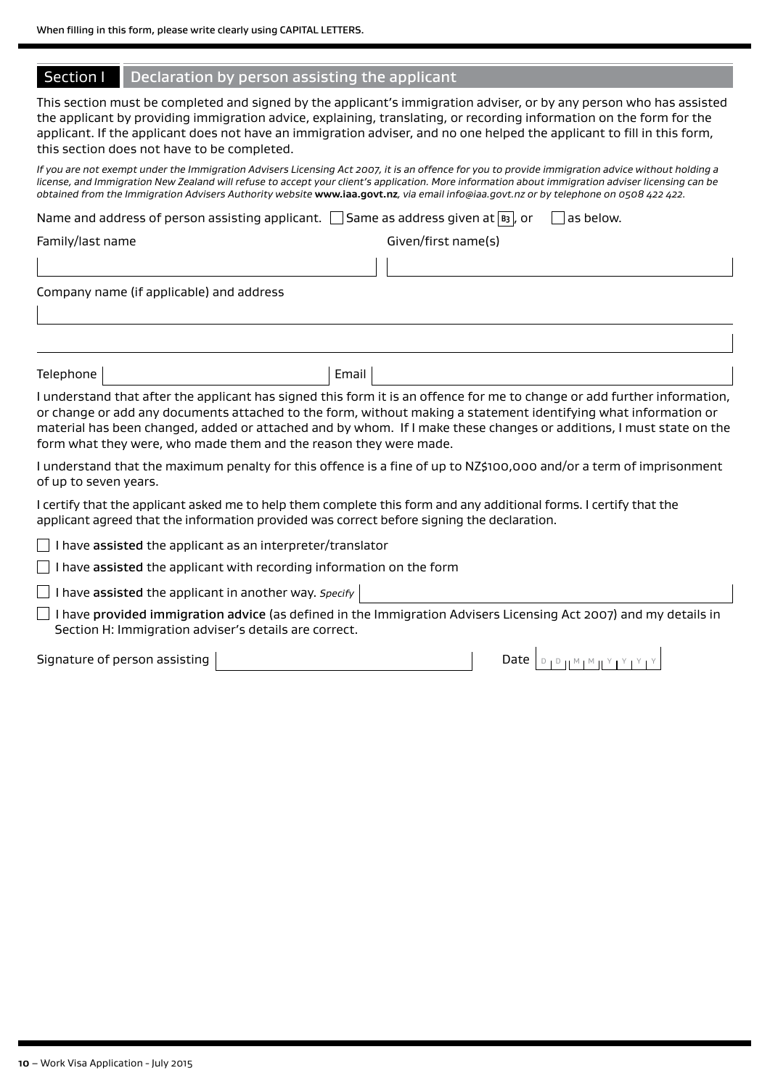### Section I | Declaration by person assisting the applicant

This section must be completed and signed by the applicant's immigration adviser, or by any person who has assisted the applicant by providing immigration advice, explaining, translating, or recording information on the form for the applicant. If the applicant does not have an immigration adviser, and no one helped the applicant to fill in this form, this section does not have to be completed.

*If you are not exempt under the Immigration Advisers Licensing Act 2007, it is an offence for you to provide immigration advice without holding a license, and Immigration New Zealand will refuse to accept your client's application. More information about immigration adviser licensing can be obtained from the Immigration Advisers Authority website* **<www.iaa.govt.nz>***, via email [info@iaa.govt.nz](mailto:info@iaa.govt.nz) or by telephone on 0508 422 422.* 

Name and address of person assisting applicant.  $\Box$  Same as address given at  $\boxed{B}$ , or  $\Box$  as below.

| Family/last name |
|------------------|
|------------------|

Given/first name(s)

Company name (if applicable) and address

Telephone and the Email

I understand that after the applicant has signed this form it is an offence for me to change or add further information, or change or add any documents attached to the form, without making a statement identifying what information or material has been changed, added or attached and by whom. If I make these changes or additions, I must state on the form what they were, who made them and the reason they were made.

I understand that the maximum penalty for this offence is a fine of up to NZ\$100,000 and/or a term of imprisonment of up to seven years.

I certify that the applicant asked me to help them complete this form and any additional forms. I certify that the applicant agreed that the information provided was correct before signing the declaration.

 $\Box$  I have assisted the applicant as an interpreter/translator

 $\Box$  I have assisted the applicant with recording information on the form

I have assisted the applicant in another way. *Specify* 

 $\Box$  I have provided immigration advice (as defined in the Immigration Advisers Licensing Act 2007) and my details in Section H: Immigration adviser's details are correct.

Signature of person assisting Date D <sup>D</sup> <sup>M</sup> <sup>M</sup> <sup>Y</sup> <sup>Y</sup> <sup>Y</sup> <sup>Y</sup>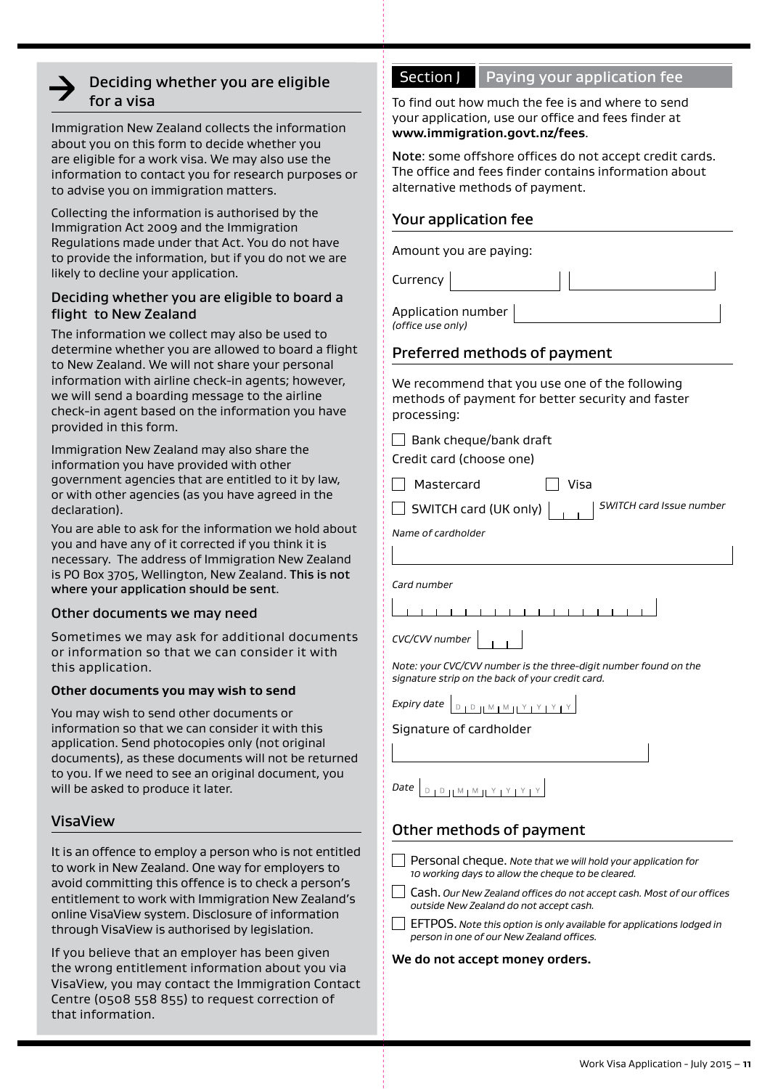# Deciding whether you are eligible for a visa

Immigration New Zealand collects the information about you on this form to decide whether you are eligible for a work visa. We may also use the information to contact you for research purposes or to advise you on immigration matters.

Collecting the information is authorised by the Immigration Act 2009 and the Immigration Regulations made under that Act. You do not have to provide the information, but if you do not we are likely to decline your application.

### Deciding whether you are eligible to board a flight to New Zealand

The information we collect may also be used to determine whether you are allowed to board a flight to New Zealand. We will not share your personal information with airline check-in agents; however, we will send a boarding message to the airline check-in agent based on the information you have provided in this form.

Immigration New Zealand may also share the information you have provided with other government agencies that are entitled to it by law, or with other agencies (as you have agreed in the declaration).

You are able to ask for the information we hold about you and have any of it corrected if you think it is necessary. The address of Immigration New Zealand is PO Box 3705, Wellington, New Zealand. This is not where your application should be sent.

## Other documents we may need

Sometimes we may ask for additional documents or information so that we can consider it with this application.

#### **Other documents you may wish to send**

You may wish to send other documents or information so that we can consider it with this application. Send photocopies only (not original documents), as these documents will not be returned to you. If we need to see an original document, you will be asked to produce it later.

## VisaView

It is an offence to employ a person who is not entitled to work in New Zealand. One way for employers to avoid committing this offence is to check a person's entitlement to work with Immigration New Zealand's online VisaView system. Disclosure of information through VisaView is authorised by legislation.

If you believe that an employer has been given the wrong entitlement information about you via VisaView, you may contact the Immigration Contact Centre (0508 558 855) to request correction of that information.

# Section J Paying your application fee

To find out how much the fee is and where to send your application, use our office and fees finder at **<www.immigration.govt.nz/fees>**.

Note: some offshore offices do not accept credit cards. The office and fees finder contains information about alternative methods of payment.

# Your application fee

Amount you are paying:

Currency

Application number *(office use only)*

# Preferred methods of payment

We recommend that you use one of the following methods of payment for better security and faster processing:

 $\Box$  Bank cheque/bank draft

Credit card (choose one)

Mastercard Visa

SWITCH card (UK only) *SWITCH card Issue number*

*Name of cardholder*

*Card number*

1 1 1 1 1 1 1 1 1 1 1 1 1

| CVC/CVV number |  |  |
|----------------|--|--|
|                |  |  |

*Note: your CVC/CVV number is the three-digit number found on the signature strip on the back of your credit card.*

*Expiry date*  $\left[ \begin{array}{c} \Box \end{array} \right]$ 

## Signature of cardholder

#### *Date*  $D + D + M + M + Y + Y$

# Other methods of payment

- Personal cheque. *Note that we will hold your application for 10 working days to allow the cheque to be cleared.*
- Cash. *Our New Zealand offices do not accept cash. Most of our offices outside New Zealand do not accept cash.*
- EFTPOS. *Note this option is only available for applications lodged in person in one of our New Zealand offices.*

#### **We do not accept money orders.**